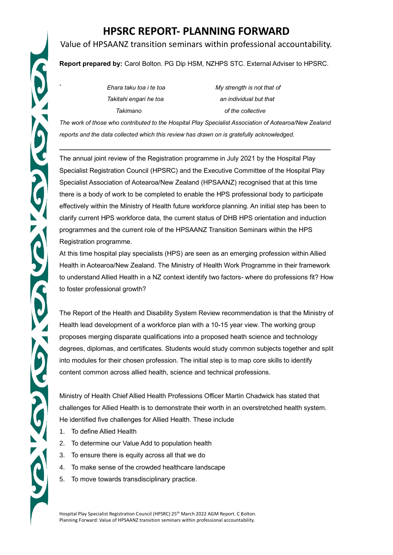# CO CO COCO

# **HPSRC REPORT- PLANNING FORWARD**

# Value of HPSAANZ transition seminars within professional accountability.

## **Report prepared by:** Carol Bolton. PG Dip HSM, NZHPS STC. External Adviser to HPSRC.

**Ehara taku toa i te toa** *My* **strength is not that of** *Takitahi engari he toa an individual but that Takimano of the collective* 

*The work of those who contributed to the Hospital Play Specialist Association of Aotearoa/New Zealand reports and the data collected which this review has drawn on is gratefully acknowledged.*

**\_\_\_\_\_\_\_\_\_\_\_\_\_\_\_\_\_\_\_\_\_\_\_\_\_\_\_\_\_\_\_\_\_\_\_\_\_\_\_\_\_\_\_\_\_\_\_\_\_\_\_\_\_\_\_\_\_\_\_\_\_\_\_\_\_\_\_\_\_\_\_\_\_\_**

The annual joint review of the Registration programme in July 2021 by the Hospital Play Specialist Registration Council (HPSRC) and the Executive Committee of the Hospital Play Specialist Association of Aotearoa/New Zealand (HPSAANZ) recognised that at this time there is a body of work to be completed to enable the HPS professional body to participate effectively within the Ministry of Health future workforce planning. An initial step has been to clarify current HPS workforce data, the current status of DHB HPS orientation and induction programmes and the current role of the HPSAANZ Transition Seminars within the HPS Registration programme.

At this time hospital play specialists (HPS) are seen as an emerging profession within Allied Health in Aotearoa/New Zealand. The Ministry of Health Work Programme in their framework to understand Allied Health in a NZ context identify two factors- where do professions fit? How to foster professional growth?

The Report of the Health and Disability System Review recommendation is that the Ministry of Health lead development of a workforce plan with a 10-15 year view. The working group proposes merging disparate qualifications into a proposed heath science and technology degrees, diplomas, and certificates. Students would study common subjects together and split into modules for their chosen profession. The initial step is to map core skills to identify content common across allied health, science and technical professions.

Ministry of Health Chief Allied Health Professions Officer Martin Chadwick has stated that challenges for Allied Health is to demonstrate their worth in an overstretched health system. He identified five challenges for Allied Health. These include

- 1. To define Allied Health
- 2. To determine our Value Add to population health
- 3. To ensure there is equity across all that we do
- 4. To make sense of the crowded healthcare landscape
- 5. To move towards transdisciplinary practice.

Hospital Play Specialist Registration Council (HPSRC) 25th March 2022 AGM Report. C Bolton. Planning Forward: Value of HPSAANZ transition seminars within professional accountability.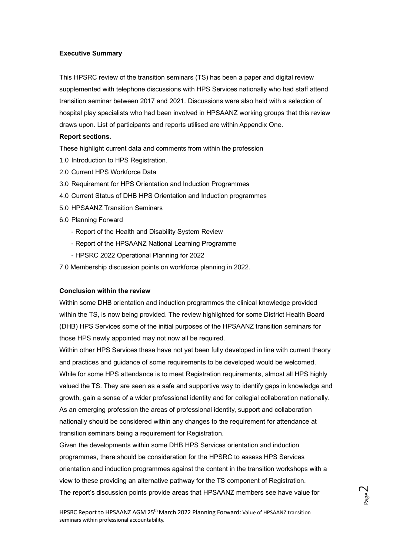### **Executive Summary**

This HPSRC review of the transition seminars (TS) has been a paper and digital review supplemented with telephone discussions with HPS Services nationally who had staff attend transition seminar between 2017 and 2021. Discussions were also held with a selection of hospital play specialists who had been involved in HPSAANZ working groups that this review draws upon. List of participants and reports utilised are within Appendix One.

### **Report sections.**

These highlight current data and comments from within the profession

- 1.0 Introduction to HPS Registration.
- 2.0 Current HPS Workforce Data
- 3.0 Requirement for HPS Orientation and Induction Programmes
- 4.0 Current Status of DHB HPS Orientation and Induction programmes
- 5.0 HPSAANZ Transition Seminars
- 6.0 Planning Forward
	- Report of the Health and Disability System Review
	- Report of the HPSAANZ National Learning Programme
	- HPSRC 2022 Operational Planning for 2022
- 7.0 Membership discussion points on workforce planning in 2022.

### **Conclusion within the review**

Within some DHB orientation and induction programmes the clinical knowledge provided within the TS, is now being provided. The review highlighted for some District Health Board (DHB) HPS Services some of the initial purposes of the HPSAANZ transition seminars for those HPS newly appointed may not now all be required.

Within other HPS Services these have not yet been fully developed in line with current theory and practices and guidance of some requirements to be developed would be welcomed. While for some HPS attendance is to meet Registration requirements, almost all HPS highly valued the TS. They are seen as a safe and supportive way to identify gaps in knowledge and growth, gain a sense of a wider professional identity and for collegial collaboration nationally. As an emerging profession the areas of professional identity, support and collaboration nationally should be considered within any changes to the requirement for attendance at transition seminars being a requirement for Registration.

Given the developments within some DHB HPS Services orientation and induction programmes, there should be consideration for the HPSRC to assess HPS Services orientation and induction programmes against the content in the transition workshops with a view to these providing an alternative pathway for the TS component of Registration. The report's discussion points provide areas that HPSAANZ members see have value for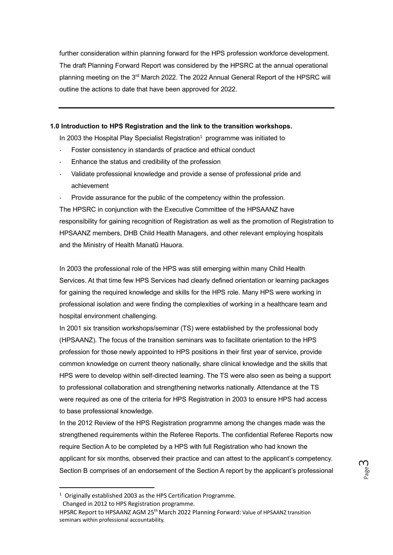further consideration within planning forward for the HPS profession workforce development. The draft Planning Forward Report was considered by the HPSRC at the annual operational planning meeting on the 3<sup>rd</sup> March 2022. The 2022 Annual General Report of the HPSRC will outline the actions to date that have been approved for 2022.

### **1.0 Introduction to HPS Registration and the link to the transition workshops.**

In 2003 the Hospital Play Specialist Registration<sup>1</sup> programme was initiated to

- Foster consistency in standards of practice and ethical conduct
- Enhance the status and credibility of the profession
- Validate professional knowledge and provide a sense of professional pride and achievement
- Provide assurance for the public of the competency within the profession.

The HPSRC in conjunction with the Executive Committee of the HPSAANZ have responsibility for gaining recognition of Registration as well as the promotion of Registration to HPSAANZ members, DHB Child Health Managers, and other relevant employing hospitals and the Ministry of Health Manatū Hauora.

In 2003 the professional role of the HPS was still emerging within many Child Health Services. At that time few HPS Services had clearly defined orientation or learning packages for gaining the required knowledge and skills for the HPS role. Many HPS were working in professional isolation and were finding the complexities of working in a healthcare team and hospital environment challenging.

In 2001 six transition workshops/seminar (TS) were established by the professional body (HPSAANZ). The focus of the transition seminars was to facilitate orientation to the HPS profession for those newly appointed to HPS positions in their first year of service, provide common knowledge on current theory nationally, share clinical knowledge and the skills that HPS were to develop within self-directed learning. The TS were also seen as being a support to professional collaboration and strengthening networks nationally. Attendance at the TS were required as one of the criteria for HPS Registration in 2003 to ensure HPS had access to base professional knowledge.

In the 2012 Review of the HPS Registration programme among the changes made was the strengthened requirements within the Referee Reports. The confidential Referee Reports now require Section A to be completed by a HPS with full Registration who had known the applicant for six months, observed their practice and can attest to the applicant's competency. Section B comprises of an endorsement of the Section A report by the applicant's professional

Page ന

 $1$  Originally established 2003 as the HPS Certification Programme.

Changed in 2012 to HPS Registration programme.

HPSRC Report to HPSAANZ AGM 25<sup>th</sup> March 2022 Planning Forward: Value of HPSAANZ transition seminars within professional accountability.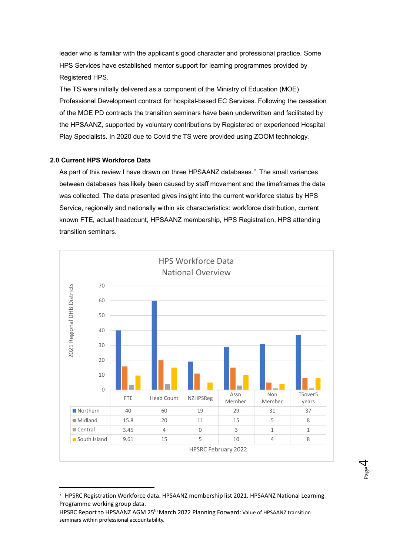leader who is familiar with the applicant's good character and professional practice. Some HPS Services have established mentor support for learning programmes provided by Registered HPS.

The TS were initially delivered as a component of the Ministry of Education (MOE) Professional Development contract for hospital-based EC Services. Following the cessation of the MOE PD contracts the transition seminars have been underwritten and facilitated by the HPSAANZ, supported by voluntary contributions by Registered or experienced Hospital Play Specialists. In 2020 due to Covid the TS were provided using ZOOM technology.

### **2.0 Current HPS Workforce Data**

As part of this review I have drawn on three HPSAANZ databases.<sup>2</sup> The small variances between databases has likely been caused by staff movement and the timeframes the data was collected. The data presented gives insight into the current workforce status by HPS Service, regionally and nationally within six characteristics: workforce distribution, current known FTE, actual headcount, HPSAANZ membership, HPS Registration, HPS attending transition seminars.



 $2$  HPSRC Registration Workforce data. HPSAANZ membership list 2021. HPSAANZ National Learning Programme working group data.

Page  $\overline{\mathcal{A}}$ 

HPSRC Report to HPSAANZ AGM 25<sup>th</sup> March 2022 Planning Forward: Value of HPSAANZ transition seminars within professional accountability.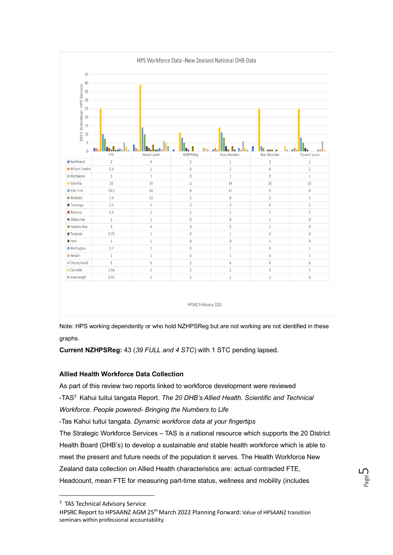

Note: HPS working dependently or who hold NZHPSReg but are not working are not identified in these graphs.

**Current NZHPSReg:** 43 (*39 FULL and 4 STC*) with 1 STC pending lapsed.

### **Allied Health Workforce Data Collection**

As part of this review two reports linked to workforce development were reviewed

-TAS<sup>3</sup> Kahui tuitui tangata Report. *The 20 DHB's Allied Health. Scientific and Technical* 

*Workforce. People powered- Bringing the Numbers to Life*

-Tas Kahui tuitui tangata. *Dynamic workforce data at your fingertips*

The Strategic Workforce Services – TAS is a national resource which supports the 20 District Health Board (DHB's) to develop a sustainable and stable health workforce which is able to meet the present and future needs of the population it serves. The Health Workforce New Zealand data collection on Allied Health characteristics are: actual contracted FTE, Headcount, mean FTE for measuring part-time status, wellness and mobility (includes

<sup>&</sup>lt;sup>3</sup> TAS Technical Advisory Service

HPSRC Report to HPSAANZ AGM 25<sup>th</sup> March 2022 Planning Forward: Value of HPSAANZ transition seminars within professional accountability.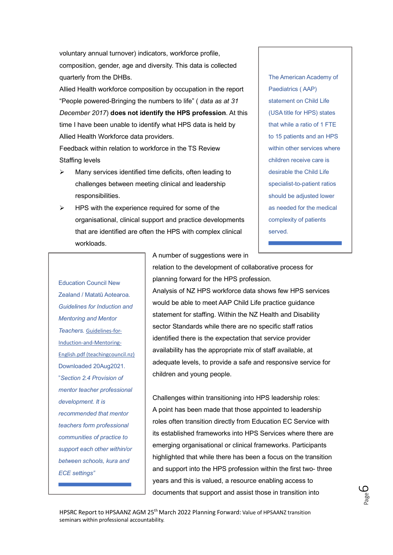voluntary annual turnover) indicators, workforce profile, composition, gender, age and diversity. This data is collected quarterly from the DHBs.

Allied Health workforce composition by occupation in the report "People powered-Bringing the numbers to life" ( *data as at 31 December 2017*) **does not identify the HPS profession**. At this time I have been unable to identify what HPS data is held by Allied Health Workforce data providers.

Feedback within relation to workforce in the TS Review Staffing levels

- ➢ Many services identified time deficits, often leading to challenges between meeting clinical and leadership responsibilities.
- $\triangleright$  HPS with the experience required for some of the organisational, clinical support and practice developments that are identified are often the HPS with complex clinical workloads.

The American Academy of Paediatrics ( AAP) statement on Child Life (USA title for HPS) states that while a ratio of 1 FTE to 15 patients and an HPS within other services where children receive care is desirable the Child Life specialist-to-patient ratios should be adjusted lower as needed for the medical complexity of patients served.

Education Council New Zealand / Matatū Aotearoa. *Guidelines for Induction and Mentoring and Mentor Teachers.* [Guidelines-for-](https://teachingcouncil.nz/assets/Files/Registration-and-certification/Guidelines-for-Induction-and-Mentoring-English.pdf)[Induction-and-Mentoring-](https://teachingcouncil.nz/assets/Files/Registration-and-certification/Guidelines-for-Induction-and-Mentoring-English.pdf)[English.pdf \(teachingcouncil.nz\)](https://teachingcouncil.nz/assets/Files/Registration-and-certification/Guidelines-for-Induction-and-Mentoring-English.pdf) Downloaded 20Aug2021. "*Section 2.4 Provision of mentor teacher professional development. It is recommended that mentor teachers form professional communities of practice to support each other within/or between schools, kura and ECE settings"*

A number of suggestions were in

relation to the development of collaborative process for planning forward for the HPS profession.

Analysis of NZ HPS workforce data shows few HPS services would be able to meet AAP Child Life practice guidance statement for staffing. Within the NZ Health and Disability sector Standards while there are no specific staff ratios identified there is the expectation that service provider availability has the appropriate mix of staff available, at adequate levels, to provide a safe and responsive service for children and young people.

Challenges within transitioning into HPS leadership roles: A point has been made that those appointed to leadership roles often transition directly from Education EC Service with its established frameworks into HPS Services where there are emerging organisational or clinical frameworks. Participants highlighted that while there has been a focus on the transition and support into the HPS profession within the first two- three years and this is valued, a resource enabling access to documents that support and assist those in transition into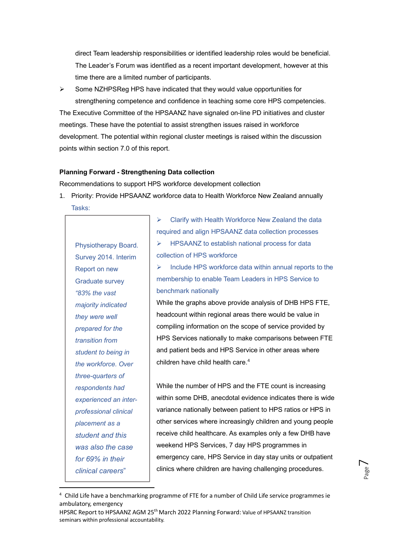direct Team leadership responsibilities or identified leadership roles would be beneficial. The Leader's Forum was identified as a recent important development, however at this time there are a limited number of participants.

➢ Some NZHPSReg HPS have indicated that they would value opportunities for strengthening competence and confidence in teaching some core HPS competencies.

The Executive Committee of the HPSAANZ have signaled on-line PD initiatives and cluster meetings. These have the potential to assist strengthen issues raised in workforce development. The potential within regional cluster meetings is raised within the discussion points within section 7.0 of this report.

### **Planning Forward - Strengthening Data collection**

Recommendations to support HPS workforce development collection

1. Priority: Provide HPSAANZ workforce data to Health Workforce New Zealand annually Tasks:

Physiotherapy Board. Survey 2014. Interim Report on new Graduate survey *"83% the vast majority indicated they were well prepared for the transition from student to being in the workforce. Over three-quarters of respondents had experienced an interprofessional clinical placement as a student and this was also the case for 69% in their clinical careers*"

➢ Clarify with Health Workforce New Zealand the data required and align HPSAANZ data collection processes ➢ HPSAANZ to establish national process for data collection of HPS workforce

 $\triangleright$  Include HPS workforce data within annual reports to the membership to enable Team Leaders in HPS Service to benchmark nationally

While the graphs above provide analysis of DHB HPS FTE, headcount within regional areas there would be value in compiling information on the scope of service provided by HPS Services nationally to make comparisons between FTE and patient beds and HPS Service in other areas where children have child health care. 4

While the number of HPS and the FTE count is increasing within some DHB, anecdotal evidence indicates there is wide variance nationally between patient to HPS ratios or HPS in other services where increasingly children and young people receive child healthcare. As examples only a few DHB have weekend HPS Services, 7 day HPS programmes in emergency care, HPS Service in day stay units or outpatient clinics where children are having challenging procedures.

<sup>4</sup> Child Life have a benchmarking programme of FTE for a number of Child Life service programmes ie ambulatory, emergency

HPSRC Report to HPSAANZ AGM 25<sup>th</sup> March 2022 Planning Forward: Value of HPSAANZ transition seminars within professional accountability.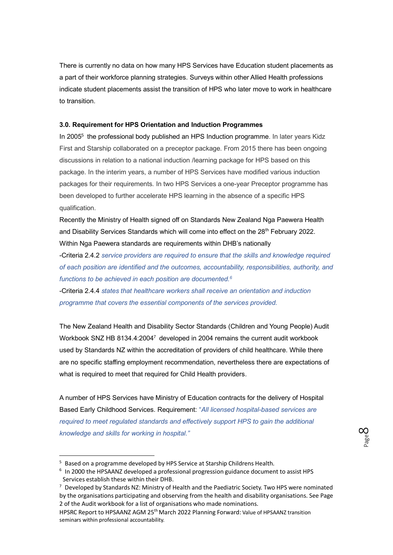There is currently no data on how many HPS Services have Education student placements as a part of their workforce planning strategies. Surveys within other Allied Health professions indicate student placements assist the transition of HPS who later move to work in healthcare to transition.

### **3.0. Requirement for HPS Orientation and Induction Programmes**

In 2005<sup>5</sup> the professional body published an HPS Induction programme. In later years Kidz First and Starship collaborated on a preceptor package. From 2015 there has been ongoing discussions in relation to a national induction /learning package for HPS based on this package. In the interim years, a number of HPS Services have modified various induction packages for their requirements. In two HPS Services a one-year Preceptor programme has been developed to further accelerate HPS learning in the absence of a specific HPS qualification.

Recently the Ministry of Health signed off on Standards New Zealand Nga Paewera Health and Disability Services Standards which will come into effect on the 28<sup>th</sup> February 2022. Within Nga Paewera standards are requirements within DHB's nationally

-Criteria 2.4.2 *service providers are required to ensure that the skills and knowledge required of each position are identified and the outcomes, accountability, responsibilities, authority, and functions to be achieved in each position are documented.<sup>6</sup>*

-Criteria 2.4.4 *states that healthcare workers shall receive an orientation and induction programme that covers the essential components of the services provided.*

The New Zealand Health and Disability Sector Standards (Children and Young People) Audit Workbook SNZ HB 8134.4:2004<sup>7</sup> developed in 2004 remains the current audit workbook used by Standards NZ within the accreditation of providers of child healthcare. While there are no specific staffing employment recommendation, nevertheless there are expectations of what is required to meet that required for Child Health providers.

A number of HPS Services have Ministry of Education contracts for the delivery of Hospital Based Early Childhood Services. Requirement: "*All licensed hospital-based services are required to meet regulated standards and effectively support HPS to gain the additional knowledge and skills for working in hospital."*

<sup>5</sup> Based on a programme developed by HPS Service at Starship Childrens Health.

<sup>&</sup>lt;sup>6</sup> In 2000 the HPSAANZ developed a professional progression guidance document to assist HPS Services establish these within their DHB.

<sup>&</sup>lt;sup>7</sup> Developed by Standards NZ: Ministry of Health and the Paediatric Society. Two HPS were nominated by the organisations participating and observing from the health and disability organisations. See Page 2 of the Audit workbook for a list of organisations who made nominations.

HPSRC Report to HPSAANZ AGM 25<sup>th</sup> March 2022 Planning Forward: Value of HPSAANZ transition seminars within professional accountability.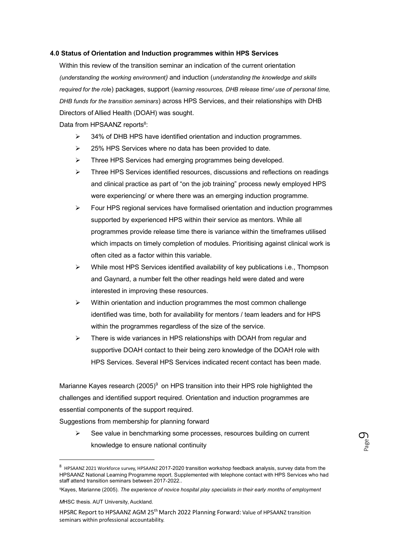### **4.0 Status of Orientation and Induction programmes within HPS Services**

Within this review of the transition seminar an indication of the current orientation *(understanding the working environment)* and induction (*understanding the knowledge and skills required for the ro*le) packages, support (*learning resources, DHB release time/ use of personal time, DHB funds for the transition seminars*) across HPS Services, and their relationships with DHB Directors of Allied Health (DOAH) was sought.

Data from HPSAANZ reports<sup>8</sup>:

- ➢ 34% of DHB HPS have identified orientation and induction programmes.
- ➢ 25% HPS Services where no data has been provided to date.
- ➢ Three HPS Services had emerging programmes being developed.
- ➢ Three HPS Services identified resources, discussions and reflections on readings and clinical practice as part of "on the job training" process newly employed HPS were experiencing/ or where there was an emerging induction programme.
- $\triangleright$  Four HPS regional services have formalised orientation and induction programmes supported by experienced HPS within their service as mentors. While all programmes provide release time there is variance within the timeframes utilised which impacts on timely completion of modules. Prioritising against clinical work is often cited as a factor within this variable.
- ➢ While most HPS Services identified availability of key publications i.e., Thompson and Gaynard, a number felt the other readings held were dated and were interested in improving these resources.
- $\triangleright$  Within orientation and induction programmes the most common challenge identified was time, both for availability for mentors / team leaders and for HPS within the programmes regardless of the size of the service.
- ➢ There is wide variances in HPS relationships with DOAH from regular and supportive DOAH contact to their being zero knowledge of the DOAH role with HPS Services. Several HPS Services indicated recent contact has been made.

Marianne Kayes research (2005)<sup>9</sup> on HPS transition into their HPS role highlighted the challenges and identified support required. Orientation and induction programmes are essential components of the support required.

Suggestions from membership for planning forward

➢ See value in benchmarking some processes, resources building on current knowledge to ensure national continuity

 $8$  HPSAANZ 2021 Workforce survey, HPSAANZ 2017-2020 transition workshop feedback analysis, survey data from the HPSAANZ National Learning Programme report. Supplemented with telephone contact with HPS Services who had staff attend transition seminars between 2017-2022..

<sup>9</sup>Kayes, Marianne (2005). *The experience of novice hospital play specialists in their early months of employment*

*M*HSC thesis. AUT University, Auckland.

HPSRC Report to HPSAANZ AGM 25<sup>th</sup> March 2022 Planning Forward: Value of HPSAANZ transition seminars within professional accountability.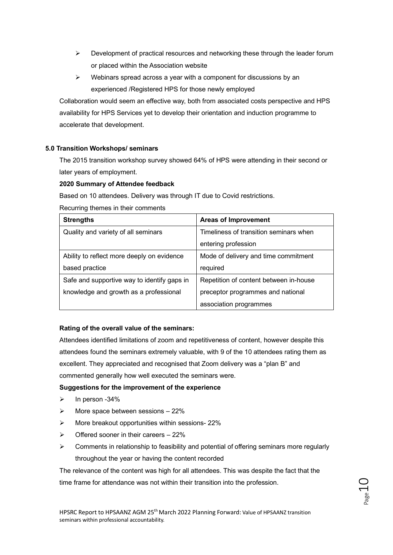- $\triangleright$  Development of practical resources and networking these through the leader forum or placed within the Association website
- ➢ Webinars spread across a year with a component for discussions by an experienced /Registered HPS for those newly employed

Collaboration would seem an effective way, both from associated costs perspective and HPS availability for HPS Services yet to develop their orientation and induction programme to accelerate that development.

### **5.0 Transition Workshops/ seminars**

The 2015 transition workshop survey showed 64% of HPS were attending in their second or later years of employment.

### **2020 Summary of Attendee feedback**

Based on 10 attendees. Delivery was through IT due to Covid restrictions.

Recurring themes in their comments

| <b>Strengths</b>                            | <b>Areas of Improvement</b>            |
|---------------------------------------------|----------------------------------------|
| Quality and variety of all seminars         | Timeliness of transition seminars when |
|                                             | entering profession                    |
| Ability to reflect more deeply on evidence  | Mode of delivery and time commitment   |
| based practice                              | required                               |
| Safe and supportive way to identify gaps in | Repetition of content between in-house |
| knowledge and growth as a professional      | preceptor programmes and national      |
|                                             | association programmes                 |

### **Rating of the overall value of the seminars:**

Attendees identified limitations of zoom and repetitiveness of content, however despite this attendees found the seminars extremely valuable, with 9 of the 10 attendees rating them as excellent. They appreciated and recognised that Zoom delivery was a "plan B" and commented generally how well executed the seminars were.

### **Suggestions for the improvement of the experience**

- $\triangleright$  In person -34%
- $\triangleright$  More space between sessions 22%
- ➢ More breakout opportunities within sessions- 22%
- $\triangleright$  Offered sooner in their careers 22%
- $\triangleright$  Comments in relationship to feasibility and potential of offering seminars more regularly throughout the year or having the content recorded

The relevance of the content was high for all attendees. This was despite the fact that the time frame for attendance was not within their transition into the profession.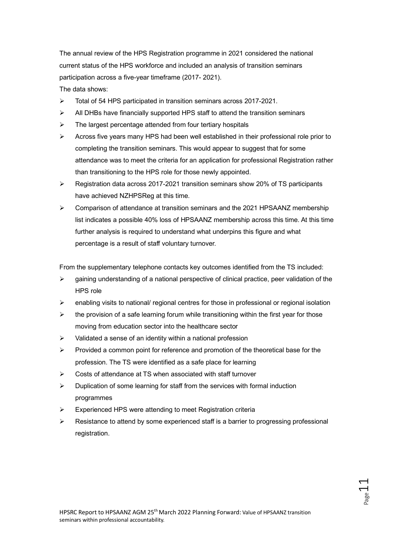The annual review of the HPS Registration programme in 2021 considered the national current status of the HPS workforce and included an analysis of transition seminars participation across a five-year timeframe (2017- 2021).

The data shows:

- ➢ Total of 54 HPS participated in transition seminars across 2017-2021.
- $\triangleright$  All DHBs have financially supported HPS staff to attend the transition seminars
- ➢ The largest percentage attended from four tertiary hospitals
- $\triangleright$  Across five years many HPS had been well established in their professional role prior to completing the transition seminars. This would appear to suggest that for some attendance was to meet the criteria for an application for professional Registration rather than transitioning to the HPS role for those newly appointed.
- ➢ Registration data across 2017-2021 transition seminars show 20% of TS participants have achieved NZHPSReg at this time.
- $\geq$  Comparison of attendance at transition seminars and the 2021 HPSAANZ membership list indicates a possible 40% loss of HPSAANZ membership across this time. At this time further analysis is required to understand what underpins this figure and what percentage is a result of staff voluntary turnover.

From the supplementary telephone contacts key outcomes identified from the TS included:

- $\triangleright$  gaining understanding of a national perspective of clinical practice, peer validation of the HPS role
- $\triangleright$  enabling visits to national/ regional centres for those in professional or regional isolation
- $\triangleright$  the provision of a safe learning forum while transitioning within the first year for those moving from education sector into the healthcare sector
- $\triangleright$  Validated a sense of an identity within a national profession
- $\triangleright$  Provided a common point for reference and promotion of the theoretical base for the profession. The TS were identified as a safe place for learning
- ➢ Costs of attendance at TS when associated with staff turnover
- ➢ Duplication of some learning for staff from the services with formal induction programmes
- ➢ Experienced HPS were attending to meet Registration criteria
- Resistance to attend by some experienced staff is a barrier to progressing professional registration.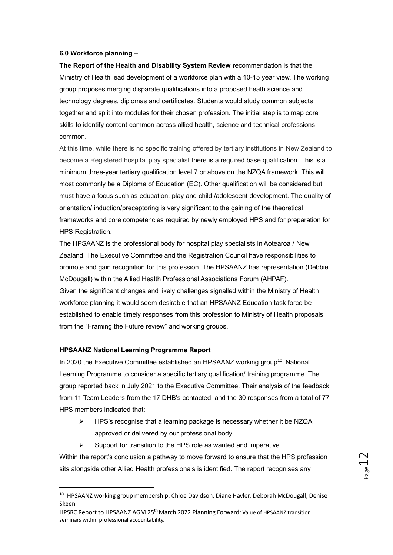### **6.0 Workforce planning –**

**The Report of the Health and Disability System Review** recommendation is that the Ministry of Health lead development of a workforce plan with a 10-15 year view. The working group proposes merging disparate qualifications into a proposed heath science and technology degrees, diplomas and certificates. Students would study common subjects together and split into modules for their chosen profession. The initial step is to map core skills to identify content common across allied health, science and technical professions common.

At this time, while there is no specific training offered by tertiary institutions in New Zealand to become a Registered hospital play specialist there is a required base qualification. This is a minimum three-year tertiary qualification level 7 or above on the NZQA framework. This will most commonly be a Diploma of Education (EC). Other qualification will be considered but must have a focus such as education, play and child /adolescent development. The quality of orientation/ induction/preceptoring is very significant to the gaining of the theoretical frameworks and core competencies required by newly employed HPS and for preparation for HPS Registration.

The HPSAANZ is the professional body for hospital play specialists in Aotearoa / New Zealand. The Executive Committee and the Registration Council have responsibilities to promote and gain recognition for this profession. The HPSAANZ has representation (Debbie McDougall) within the Allied Health Professional Associations Forum (AHPAF). Given the significant changes and likely challenges signalled within the Ministry of Health workforce planning it would seem desirable that an HPSAANZ Education task force be established to enable timely responses from this profession to Ministry of Health proposals from the "Framing the Future review" and working groups.

### **HPSAANZ National Learning Programme Report**

In 2020 the Executive Committee established an HPSAANZ working group<sup>10</sup> National Learning Programme to consider a specific tertiary qualification/ training programme. The group reported back in July 2021 to the Executive Committee. Their analysis of the feedback from 11 Team Leaders from the 17 DHB's contacted, and the 30 responses from a total of 77 HPS members indicated that:

- ➢ HPS's recognise that a learning package is necessary whether it be NZQA approved or delivered by our professional body
- $\triangleright$  Support for transition to the HPS role as wanted and imperative.

Within the report's conclusion a pathway to move forward to ensure that the HPS profession sits alongside other Allied Health professionals is identified. The report recognises any

<sup>&</sup>lt;sup>10</sup> HPSAANZ working group membership: Chloe Davidson, Diane Havler, Deborah McDougall, Denise Skeen

HPSRC Report to HPSAANZ AGM 25<sup>th</sup> March 2022 Planning Forward: Value of HPSAANZ transition seminars within professional accountability.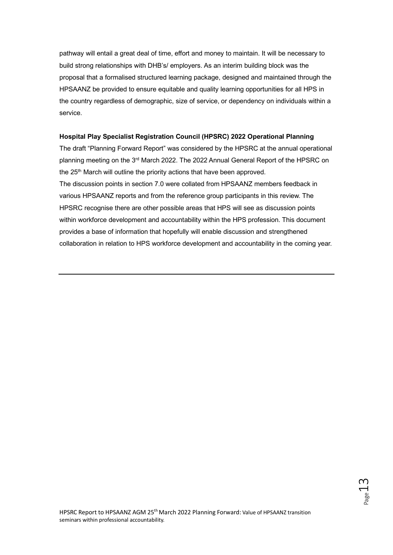pathway will entail a great deal of time, effort and money to maintain. It will be necessary to build strong relationships with DHB's/ employers. As an interim building block was the proposal that a formalised structured learning package, designed and maintained through the HPSAANZ be provided to ensure equitable and quality learning opportunities for all HPS in the country regardless of demographic, size of service, or dependency on individuals within a service.

### **Hospital Play Specialist Registration Council (HPSRC) 2022 Operational Planning**

The draft "Planning Forward Report" was considered by the HPSRC at the annual operational planning meeting on the 3<sup>rd</sup> March 2022. The 2022 Annual General Report of the HPSRC on the 25<sup>th</sup> March will outline the priority actions that have been approved. The discussion points in section 7.0 were collated from HPSAANZ members feedback in various HPSAANZ reports and from the reference group participants in this review. The HPSRC recognise there are other possible areas that HPS will see as discussion points within workforce development and accountability within the HPS profession. This document provides a base of information that hopefully will enable discussion and strengthened collaboration in relation to HPS workforce development and accountability in the coming year.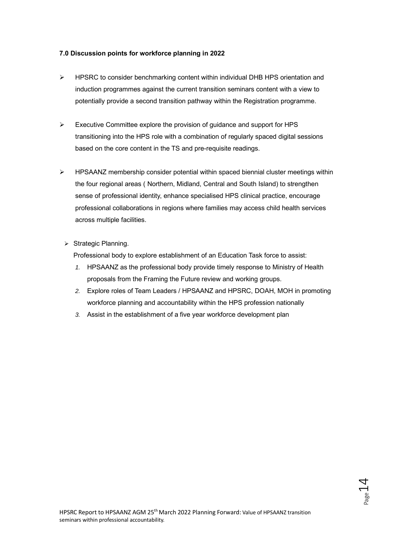### **7.0 Discussion points for workforce planning in 2022**

- ➢ HPSRC to consider benchmarking content within individual DHB HPS orientation and induction programmes against the current transition seminars content with a view to potentially provide a second transition pathway within the Registration programme.
- ➢ Executive Committee explore the provision of guidance and support for HPS transitioning into the HPS role with a combination of regularly spaced digital sessions based on the core content in the TS and pre-requisite readings.
- $\triangleright$  HPSAANZ membership consider potential within spaced biennial cluster meetings within the four regional areas ( Northern, Midland, Central and South Island) to strengthen sense of professional identity, enhance specialised HPS clinical practice, encourage professional collaborations in regions where families may access child health services across multiple facilities.
	- ➢ Strategic Planning.

Professional body to explore establishment of an Education Task force to assist:

- *1.* HPSAANZ as the professional body provide timely response to Ministry of Health proposals from the Framing the Future review and working groups.
- *2.* Explore roles of Team Leaders / HPSAANZ and HPSRC, DOAH, MOH in promoting workforce planning and accountability within the HPS profession nationally
- *3.* Assist in the establishment of a five year workforce development plan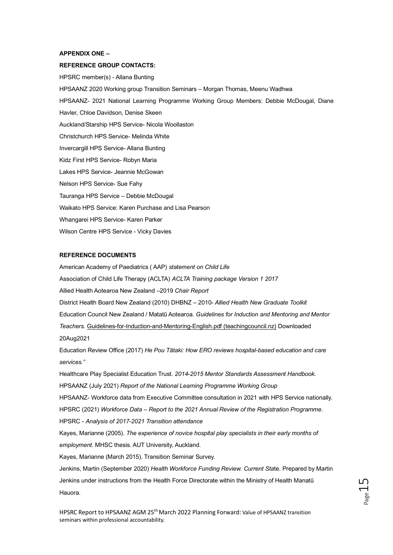### **APPENDIX ONE –**

### **REFERENCE GROUP CONTACTS:**

HPSRC member(s) - Allana Bunting HPSAANZ 2020 Working group Transition Seminars – Morgan Thomas, Meenu Wadhwa HPSAANZ- 2021 National Learning Programme Working Group Members: Debbie McDougal, Diane Havler, Chloe Davidson, Denise Skeen Auckland/Starship HPS Service- Nicola Woollaston Christchurch HPS Service- Melinda White Invercargill HPS Service- Allana Bunting Kidz First HPS Service- Robyn Maria Lakes HPS Service- Jeannie McGowan Nelson HPS Service- Sue Fahy Tauranga HPS Service – Debbie McDougal Waikato HPS Service: Karen Purchase and Lisa Pearson Whangarei HPS Service- Karen Parker Wilson Centre HPS Service - Vicky Davies

### **REFERENCE DOCUMENTS**

American Academy of Paediatrics ( AAP) *statement on Child Life* Association of Child Life Therapy (ACLTA) *ACLTA Training package Version 1 2017* Allied Health Aotearoa New Zealand –2019 *Chair Report*  District Health Board New Zealand (2010) DHBNZ – 2010- *Allied Health New Graduate Toolkit* Education Council New Zealand / Matatū Aotearoa. *Guidelines for Induction and Mentoring and Mentor Teachers.* [Guidelines-for-Induction-and-Mentoring-English.pdf \(teachingcouncil.nz\)](https://teachingcouncil.nz/assets/Files/Registration-and-certification/Guidelines-for-Induction-and-Mentoring-English.pdf) Downloaded 20Aug2021 Education Review Office (2017) *He Pou Tātaki: How ERO reviews hospital-based education and care services."* Healthcare Play Specialist Education Trust. *2014-2015 Mentor Standards Assessment Handbook.* HPSAANZ (July 2021) *Report of the National Learning Programme Working Group* HPSAANZ- Workforce data from Executive Committee consultation in 2021 with HPS Service nationally. HPSRC (2021) *Workforce Data – Report to the 2021 Annual Review of the Registration Programme*. HPSRC - *Analysis of 2017-2021 Transition attendance* Kayes, Marianne (2005). *The experience of novice hospital play specialists in their early months of employment.* MHSC thesis. AUT University, Auckland. Kayes, Marianne (March 2015). Transition Seminar Survey. Jenkins, Martin (September 2020) *Health Workforce Funding Review. Current Sta*te. Prepared by Martin Jenkins under instructions from the Health Force Directorate within the Ministry of Health Manatū Hauora.

HPSRC Report to HPSAANZ AGM 25<sup>th</sup> March 2022 Planning Forward: Value of HPSAANZ transition seminars within professional accountability.

 $C$ Tage<sup>r</sup>